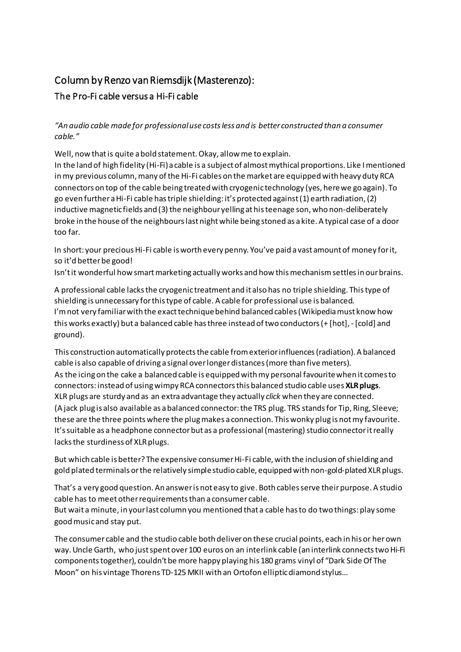## Column by Renzo van Riemsdijk (Masterenzo): The Pro-Fi cable versus a Hi-Fi cable

## *"An audio cable made for professionaluse costsless and is better constructed than a consumer cable."*

Well, now thatis quite abold statement.Okay, allowme to explain. In the land of high fidelity (Hi-Fi)a cable is a subject of almost mythical proportions. Like I mentioned in my previous column, many of the Hi-Fi cables on the market are equipped with heavy duty RCA connectors on top of the cable being treatedwith cryogenic technology (yes, herewe go again). To go even furtheraHi-Fi cable hastriple shielding:it's protected against(1) earth radiation,(2) inductive magnetic fields and (3) the neighbour yelling at his teenage son, who non-deliberately broke in the house of the neighbourslast nightwhile being stoned as a kite. A typical case of a door too far.

In short: your precious Hi-Fi cable is worth every penny. You've paid a vast amount of money for it, so it'd betterbe good!

Isn't it wonderful how smart marketing actually works and how this mechanism settles in our brains.

A professional cable lacksthe cryogenic treatment and it also has no triple shielding. Thistype of shielding is unnecessary forthistype of cable. A cable for professional use is balanced. I'm not very familiar with the exact technique behind balanced cables (Wikipedia must know how thisworks exactly) but a balanced cable hasthree instead oftwo conductors(+ [hot],- [cold] and ground).

This construction automatically protects the cable from exterior influences (radiation). A balanced cable is also capable of driving a signal overlongerdistances(more than five meters). As the icingon the cake a balanced cable is equipped withmy personal favouritewhen it comesto connectors:instead of usingwimpy RCA connectorsthis balanced studio cable uses **XLRplugs**. XLR plugs are sturdy and as an extra advantage they actually *click* when they are connected. (A jack plug is also available as abalanced connector:the TRS plug. TRS standsfor Tip, Ring, Sleeve; these are the three points where the plug makes a connection. This wonky plug is not my favourite. It's suitable as a headphone connector but as a professional (mastering) studio connector it really lacks the sturdiness of XLR plugs.

But which cable is better? The expensive consumer Hi-Fi cable, with the inclusion of shielding and gold plated terminals or the relatively simple studio cable, equipped with non-gold-plated XLR plugs.

That's a very good question. An answer is not easy to give. Both cables serve their purpose. A studio cable has to meetotherrequirementsthan a consumer cable. But wait a minute, in yourlast column you mentioned that a cable hasto do two things: play some goodmusicand stay put.

The consumer cable and the studio cable both deliveron these crucial points, each in his or herown way.Uncle Garth, who justspentover100 euros on an interlink cable (an interlink connectstwoHi-Fi componentstogether), couldn't be more happy playinghis 180 grams vinyl of "Dark Side Of The Moon" on his vintage Thorens TD-125 MKII with an Ortofon ellipticdiamond stylus…